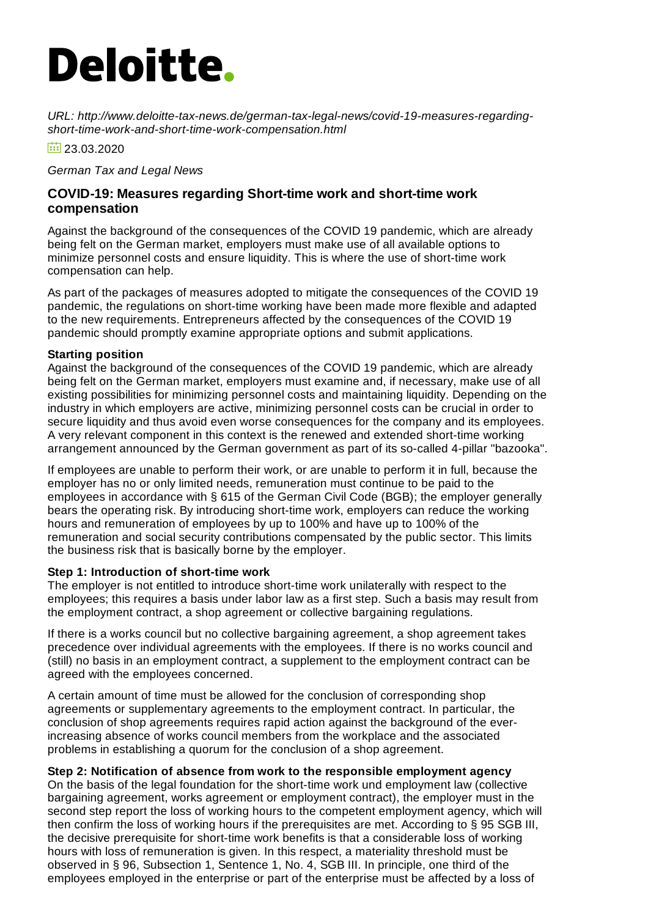# **Deloitte.**

*URL: http://www.deloitte-tax-news.de/german-tax-legal-news/covid-19-measures-regardingshort-time-work-and-short-time-work-compensation.html*

 $\frac{1}{2}$  23.03.2020

*German Tax and Legal News*

# **COVID-19: Measures regarding Short-time work and short-time work compensation**

Against the background of the consequences of the COVID 19 pandemic, which are already being felt on the German market, employers must make use of all available options to minimize personnel costs and ensure liquidity. This is where the use of short-time work compensation can help.

As part of the packages of measures adopted to mitigate the consequences of the COVID 19 pandemic, the regulations on short-time working have been made more flexible and adapted to the new requirements. Entrepreneurs affected by the consequences of the COVID 19 pandemic should promptly examine appropriate options and submit applications.

#### **Starting position**

Against the background of the consequences of the COVID 19 pandemic, which are already being felt on the German market, employers must examine and, if necessary, make use of all existing possibilities for minimizing personnel costs and maintaining liquidity. Depending on the industry in which employers are active, minimizing personnel costs can be crucial in order to secure liquidity and thus avoid even worse consequences for the company and its employees. A very relevant component in this context is the renewed and extended short-time working arrangement announced by the German government as part of its so-called 4-pillar "bazooka".

If employees are unable to perform their work, or are unable to perform it in full, because the employer has no or only limited needs, remuneration must continue to be paid to the employees in accordance with § 615 of the German Civil Code (BGB); the employer generally bears the operating risk. By introducing short-time work, employers can reduce the working hours and remuneration of employees by up to 100% and have up to 100% of the remuneration and social security contributions compensated by the public sector. This limits the business risk that is basically borne by the employer.

# **Step 1: Introduction of short-time work**

The employer is not entitled to introduce short-time work unilaterally with respect to the employees; this requires a basis under labor law as a first step. Such a basis may result from the employment contract, a shop agreement or collective bargaining regulations.

If there is a works council but no collective bargaining agreement, a shop agreement takes precedence over individual agreements with the employees. If there is no works council and (still) no basis in an employment contract, a supplement to the employment contract can be agreed with the employees concerned.

A certain amount of time must be allowed for the conclusion of corresponding shop agreements or supplementary agreements to the employment contract. In particular, the conclusion of shop agreements requires rapid action against the background of the everincreasing absence of works council members from the workplace and the associated problems in establishing a quorum for the conclusion of a shop agreement.

# **Step 2: Notification of absence from work to the responsible employment agency**

On the basis of the legal foundation for the short-time work und employment law (collective bargaining agreement, works agreement or employment contract), the employer must in the second step report the loss of working hours to the competent employment agency, which will then confirm the loss of working hours if the prerequisites are met. According to § 95 SGB III, the decisive prerequisite for short-time work benefits is that a considerable loss of working hours with loss of remuneration is given. In this respect, a materiality threshold must be observed in § 96, Subsection 1, Sentence 1, No. 4, SGB III. In principle, one third of the employees employed in the enterprise or part of the enterprise must be affected by a loss of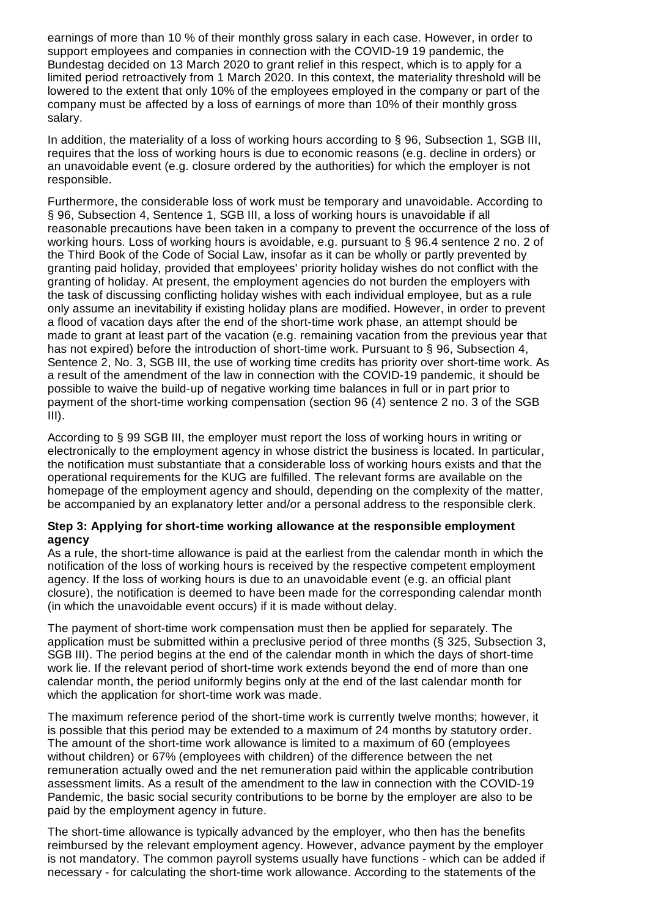earnings of more than 10 % of their monthly gross salary in each case. However, in order to support employees and companies in connection with the COVID-19 19 pandemic, the Bundestag decided on 13 March 2020 to grant relief in this respect, which is to apply for a limited period retroactively from 1 March 2020. In this context, the materiality threshold will be lowered to the extent that only 10% of the employees employed in the company or part of the company must be affected by a loss of earnings of more than 10% of their monthly gross salary.

In addition, the materiality of a loss of working hours according to § 96, Subsection 1, SGB III, requires that the loss of working hours is due to economic reasons (e.g. decline in orders) or an unavoidable event (e.g. closure ordered by the authorities) for which the employer is not responsible.

Furthermore, the considerable loss of work must be temporary and unavoidable. According to § 96, Subsection 4, Sentence 1, SGB III, a loss of working hours is unavoidable if all reasonable precautions have been taken in a company to prevent the occurrence of the loss of working hours. Loss of working hours is avoidable, e.g. pursuant to § 96.4 sentence 2 no. 2 of the Third Book of the Code of Social Law, insofar as it can be wholly or partly prevented by granting paid holiday, provided that employees' priority holiday wishes do not conflict with the granting of holiday. At present, the employment agencies do not burden the employers with the task of discussing conflicting holiday wishes with each individual employee, but as a rule only assume an inevitability if existing holiday plans are modified. However, in order to prevent a flood of vacation days after the end of the short-time work phase, an attempt should be made to grant at least part of the vacation (e.g. remaining vacation from the previous year that has not expired) before the introduction of short-time work. Pursuant to § 96, Subsection 4, Sentence 2, No. 3, SGB III, the use of working time credits has priority over short-time work. As a result of the amendment of the law in connection with the COVID-19 pandemic, it should be possible to waive the build-up of negative working time balances in full or in part prior to payment of the short-time working compensation (section 96 (4) sentence 2 no. 3 of the SGB  $III$ ).

According to § 99 SGB III, the employer must report the loss of working hours in writing or electronically to the employment agency in whose district the business is located. In particular, the notification must substantiate that a considerable loss of working hours exists and that the operational requirements for the KUG are fulfilled. The relevant forms are available on the homepage of the employment agency and should, depending on the complexity of the matter, be accompanied by an explanatory letter and/or a personal address to the responsible clerk.

#### **Step 3: Applying for short-time working allowance at the responsible employment agency**

As a rule, the short-time allowance is paid at the earliest from the calendar month in which the notification of the loss of working hours is received by the respective competent employment agency. If the loss of working hours is due to an unavoidable event (e.g. an official plant closure), the notification is deemed to have been made for the corresponding calendar month (in which the unavoidable event occurs) if it is made without delay.

The payment of short-time work compensation must then be applied for separately. The application must be submitted within a preclusive period of three months (§ 325, Subsection 3, SGB III). The period begins at the end of the calendar month in which the days of short-time work lie. If the relevant period of short-time work extends beyond the end of more than one calendar month, the period uniformly begins only at the end of the last calendar month for which the application for short-time work was made.

The maximum reference period of the short-time work is currently twelve months; however, it is possible that this period may be extended to a maximum of 24 months by statutory order. The amount of the short-time work allowance is limited to a maximum of 60 (employees without children) or 67% (employees with children) of the difference between the net remuneration actually owed and the net remuneration paid within the applicable contribution assessment limits. As a result of the amendment to the law in connection with the COVID-19 Pandemic, the basic social security contributions to be borne by the employer are also to be paid by the employment agency in future.

The short-time allowance is typically advanced by the employer, who then has the benefits reimbursed by the relevant employment agency. However, advance payment by the employer is not mandatory. The common payroll systems usually have functions - which can be added if necessary - for calculating the short-time work allowance. According to the statements of the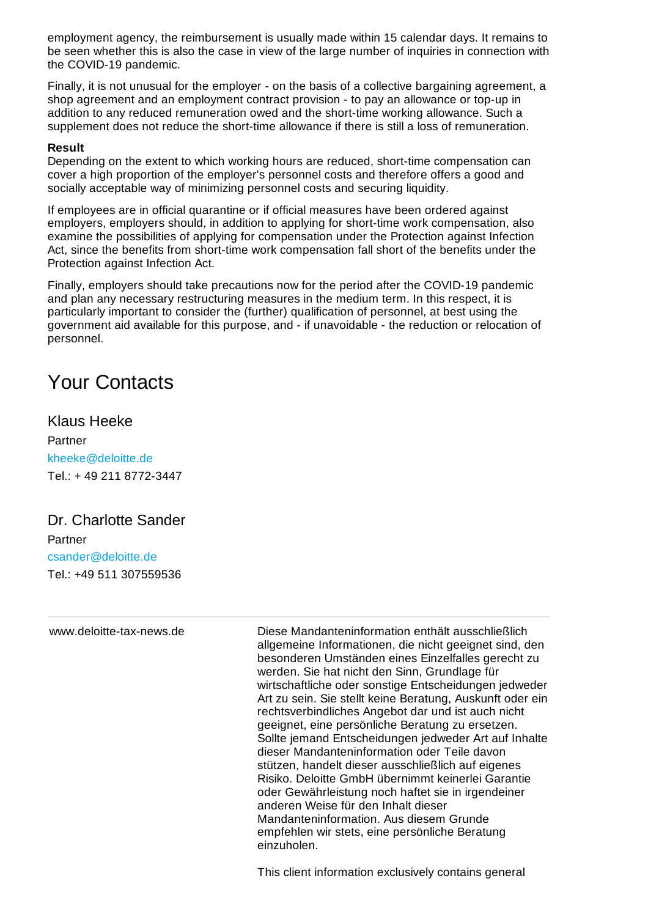employment agency, the reimbursement is usually made within 15 calendar days. It remains to be seen whether this is also the case in view of the large number of inquiries in connection with the COVID-19 pandemic.

Finally, it is not unusual for the employer - on the basis of a collective bargaining agreement, a shop agreement and an employment contract provision - to pay an allowance or top-up in addition to any reduced remuneration owed and the short-time working allowance. Such a supplement does not reduce the short-time allowance if there is still a loss of remuneration.

#### **Result**

Depending on the extent to which working hours are reduced, short-time compensation can cover a high proportion of the employer's personnel costs and therefore offers a good and socially acceptable way of minimizing personnel costs and securing liquidity.

If employees are in official quarantine or if official measures have been ordered against employers, employers should, in addition to applying for short-time work compensation, also examine the possibilities of applying for compensation under the Protection against Infection Act, since the benefits from short-time work compensation fall short of the benefits under the Protection against Infection Act.

Finally, employers should take precautions now for the period after the COVID-19 pandemic and plan any necessary restructuring measures in the medium term. In this respect, it is particularly important to consider the (further) qualification of personnel, at best using the government aid available for this purpose, and - if unavoidable - the reduction or relocation of personnel.

# Your Contacts

# Klaus Heeke

Partner [kheeke@deloitte.de](mailto:kheeke@deloitte.de) Tel.: + 49 211 [8772-3447](tel:+ 49 211 8772-3447)

# Dr. Charlotte Sander

Partner [csander@deloitte.de](mailto:csander@deloitte.de) Tel.: +49 511 [307559536](tel:+49 511 307559536)

www.deloitte-tax-news.de Diese Mandanteninformation enthält ausschließlich allgemeine Informationen, die nicht geeignet sind, den besonderen Umständen eines Einzelfalles gerecht zu werden. Sie hat nicht den Sinn, Grundlage für wirtschaftliche oder sonstige Entscheidungen jedweder Art zu sein. Sie stellt keine Beratung, Auskunft oder ein rechtsverbindliches Angebot dar und ist auch nicht geeignet, eine persönliche Beratung zu ersetzen. Sollte jemand Entscheidungen jedweder Art auf Inhalte dieser Mandanteninformation oder Teile davon stützen, handelt dieser ausschließlich auf eigenes Risiko. Deloitte GmbH übernimmt keinerlei Garantie oder Gewährleistung noch haftet sie in irgendeiner anderen Weise für den Inhalt dieser Mandanteninformation. Aus diesem Grunde empfehlen wir stets, eine persönliche Beratung einzuholen.

This client information exclusively contains general